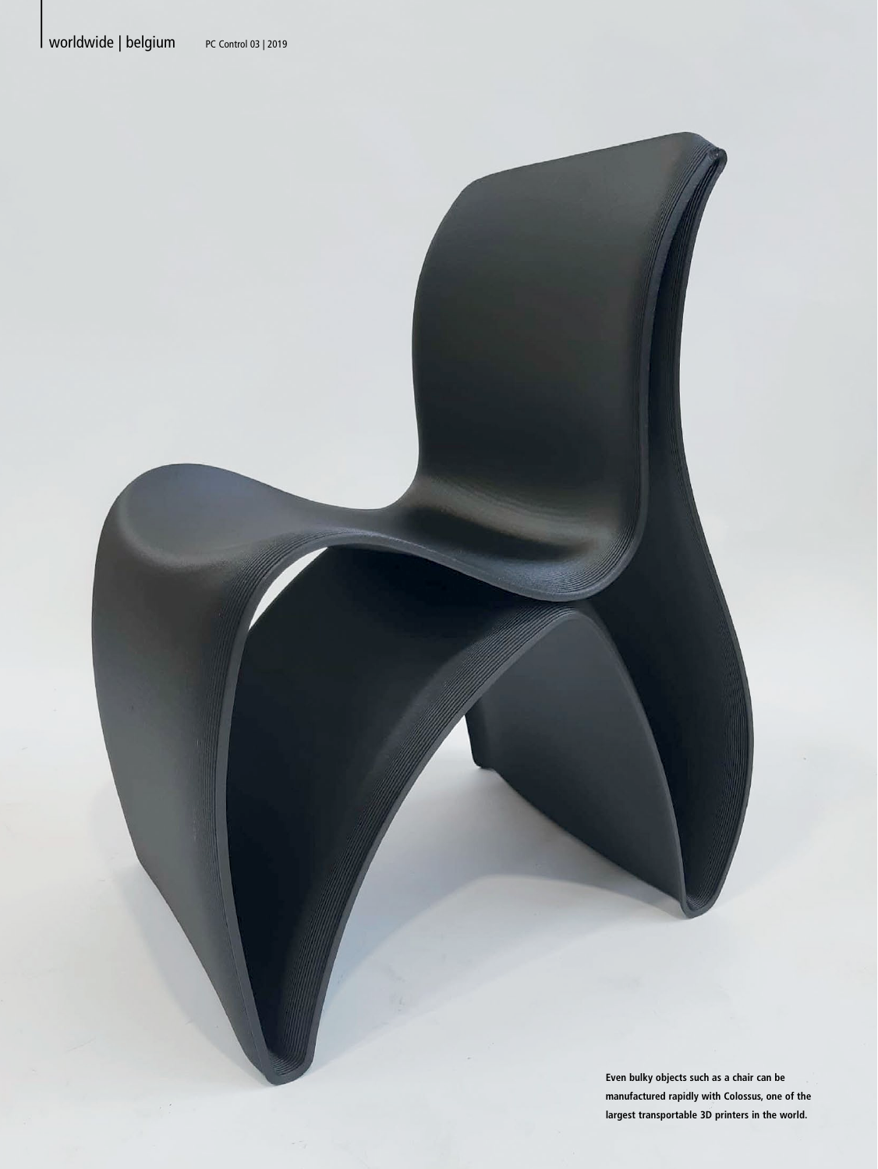**Even bulky objects such as a chair can be manufactured rapidly with Colossus, one of the largest transportable 3D printers in the world.**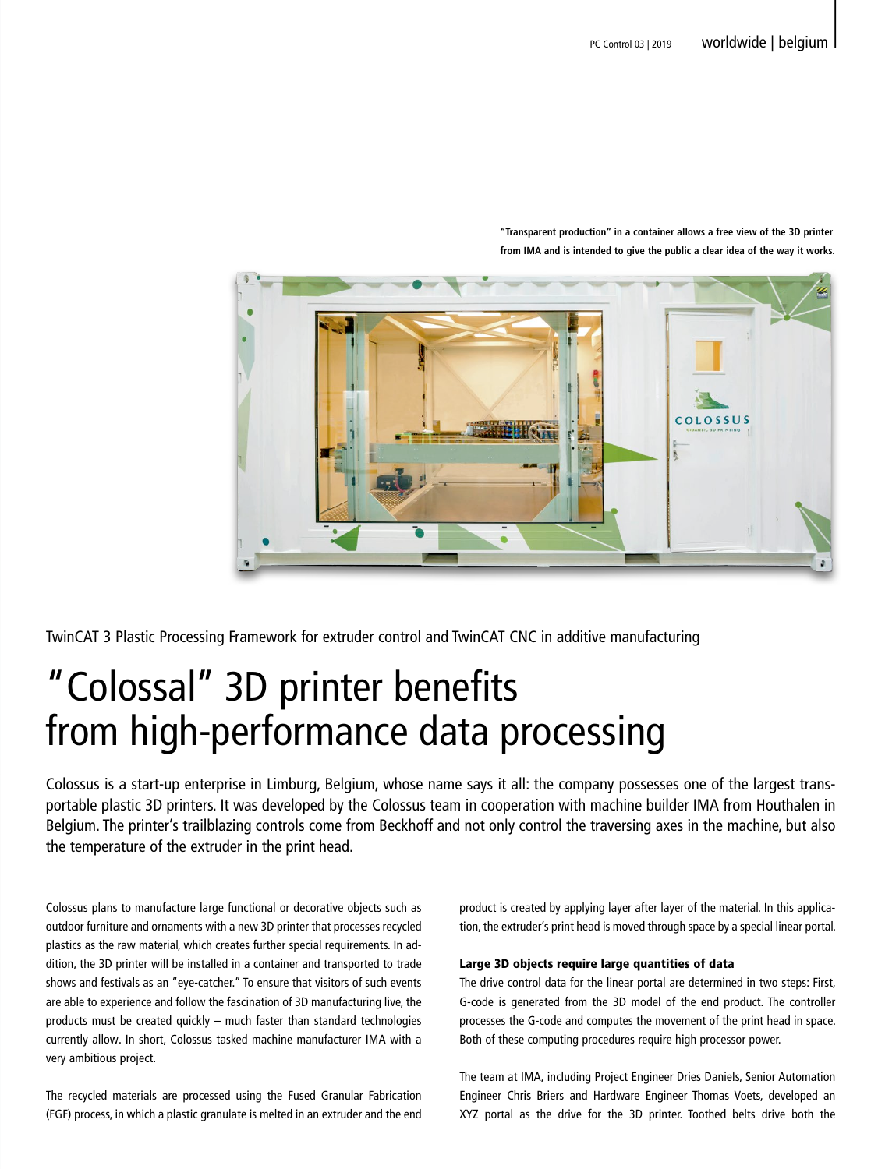

**"Transparent production" in a container allows a free view of the 3D printer from IMA and is intended to give the public a clear idea of the way it works.**

TwinCAT 3 Plastic Processing Framework for extruder control and TwinCAT CNC in additive manufacturing

# "Colossal" 3D printer benefits from high-performance data processing

Colossus is a start-up enterprise in Limburg, Belgium, whose name says it all: the company possesses one of the largest transportable plastic 3D printers. It was developed by the Colossus team in cooperation with machine builder IMA from Houthalen in Belgium. The printer's trailblazing controls come from Beckhoff and not only control the traversing axes in the machine, but also the temperature of the extruder in the print head.

Colossus plans to manufacture large functional or decorative objects such as outdoor furniture and ornaments with a new 3D printer that processes recycled plastics as the raw material, which creates further special requirements. In addition, the 3D printer will be installed in a container and transported to trade shows and festivals as an "eye-catcher." To ensure that visitors of such events are able to experience and follow the fascination of 3D manufacturing live, the products must be created quickly – much faster than standard technologies currently allow. In short, Colossus tasked machine manufacturer IMA with a very ambitious project.

The recycled materials are processed using the Fused Granular Fabrication (FGF) process, in which a plastic granulate is melted in an extruder and the end

product is created by applying layer after layer of the material. In this application, the extruder's print head is moved through space by a special linear portal.

# Large 3D objects require large quantities of data

The drive control data for the linear portal are determined in two steps: First, G-code is generated from the 3D model of the end product. The controller processes the G-code and computes the movement of the print head in space. Both of these computing procedures require high processor power.

The team at IMA, including Project Engineer Dries Daniels, Senior Automation Engineer Chris Briers and Hardware Engineer Thomas Voets, developed an XYZ portal as the drive for the 3D printer. Toothed belts drive both the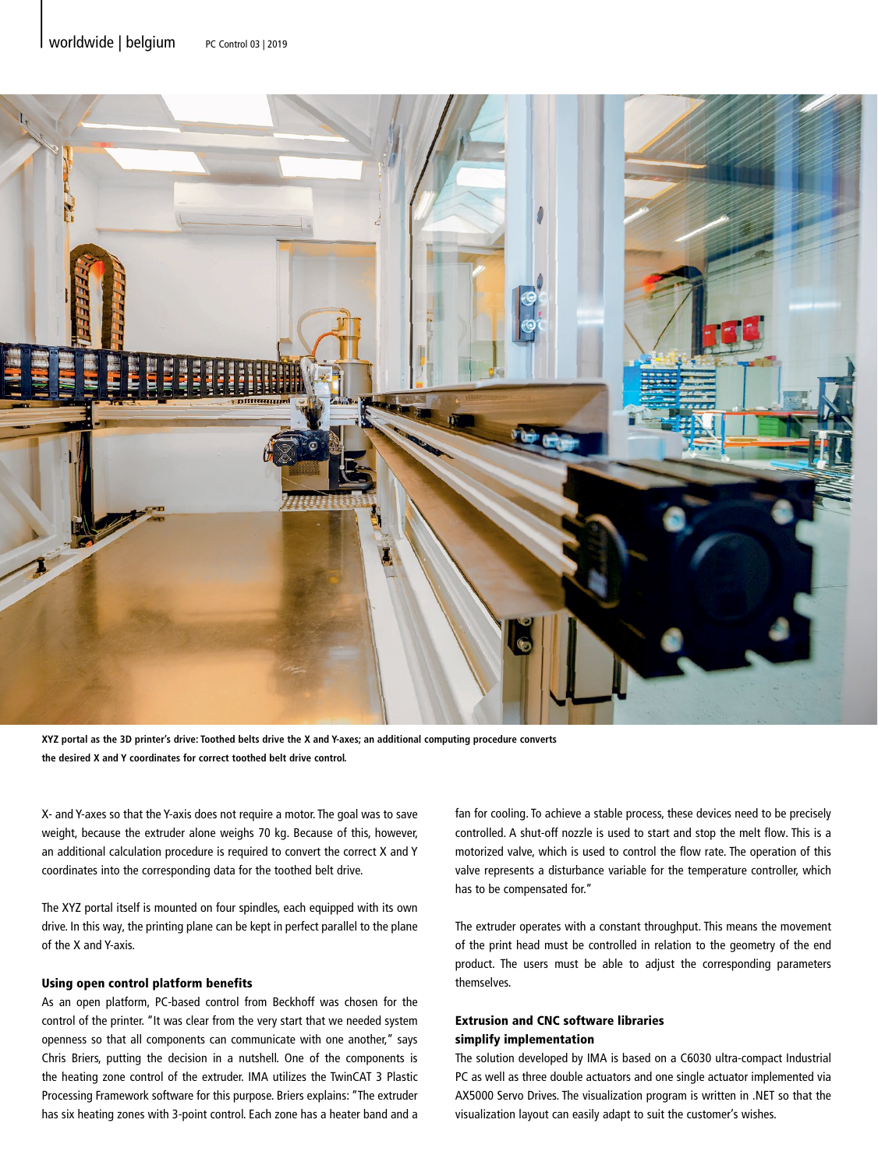

**XYZ portal as the 3D printer's drive: Toothed belts drive the X and Y-axes; an additional computing procedure converts the desired X and Y coordinates for correct toothed belt drive control.**

X- and Y-axes so that the Y-axis does not require a motor. The goal was to save weight, because the extruder alone weighs 70 kg. Because of this, however, an additional calculation procedure is required to convert the correct X and Y coordinates into the corresponding data for the toothed belt drive.

The XYZ portal itself is mounted on four spindles, each equipped with its own drive. In this way, the printing plane can be kept in perfect parallel to the plane of the X and Y-axis.

# Using open control platform benefits

As an open platform, PC-based control from Beckhoff was chosen for the control of the printer. "It was clear from the very start that we needed system openness so that all components can communicate with one another," says Chris Briers, putting the decision in a nutshell. One of the components is the heating zone control of the extruder. IMA utilizes the TwinCAT 3 Plastic Processing Framework software for this purpose. Briers explains: "The extruder has six heating zones with 3-point control. Each zone has a heater band and a fan for cooling. To achieve a stable process, these devices need to be precisely controlled. A shut-off nozzle is used to start and stop the melt flow. This is a motorized valve, which is used to control the flow rate. The operation of this valve represents a disturbance variable for the temperature controller, which has to be compensated for."

The extruder operates with a constant throughput. This means the movement of the print head must be controlled in relation to the geometry of the end product. The users must be able to adjust the corresponding parameters themselves.

# Extrusion and CNC software libraries simplify implementation

The solution developed by IMA is based on a C6030 ultra-compact Industrial PC as well as three double actuators and one single actuator implemented via AX5000 Servo Drives. The visualization program is written in .NET so that the visualization layout can easily adapt to suit the customer's wishes.